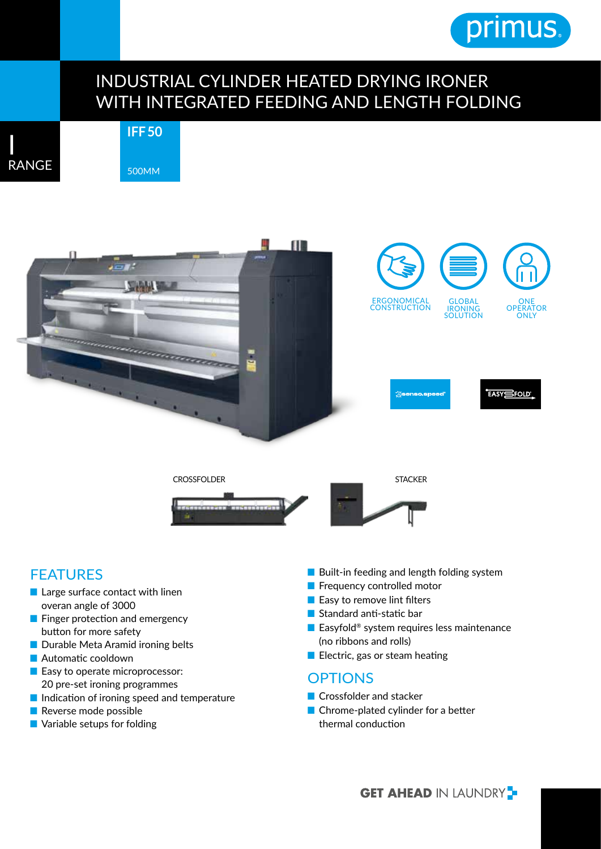# primus.

### INDUSTRIAL CYLINDER HEATED DRYING IRONER WITH INTEGRATED FEEDING AND LENGTH FOLDING



## **IFF 50** 500MM



### FEATURES

- Large surface contact with linen overan angle of 3000
- Finger protection and emergency button for more safety
- Durable Meta Aramid ironing belts
- Automatic cooldown
- Easy to operate microprocessor: 20 pre-set ironing programmes
- Indication of ironing speed and temperature
- Reverse mode possible
- Variable setups for folding
- Built-in feeding and length folding system
- Frequency controlled motor
- Easy to remove lint filters
- Standard anti-static bar
- Easyfold<sup>®</sup> system requires less maintenance (no ribbons and rolls)
- Electric, gas or steam heating

#### **OPTIONS**

- Crossfolder and stacker
- Chrome-plated cylinder for a better thermal conduction